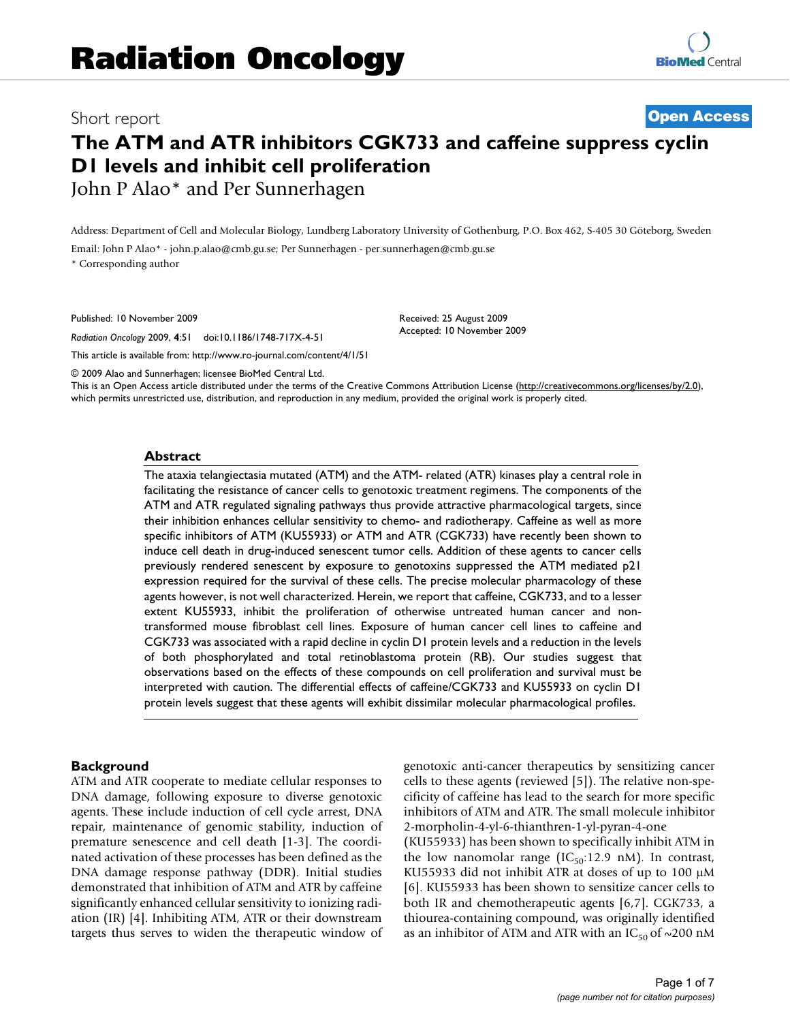# Short report **[Open Access](http://www.biomedcentral.com/info/about/charter/)**

## **The ATM and ATR inhibitors CGK733 and caffeine suppress cyclin D1 levels and inhibit cell proliferation** John P Alao\* and Per Sunnerhagen

Address: Department of Cell and Molecular Biology, Lundberg Laboratory University of Gothenburg, P.O. Box 462, S-405 30 Göteborg, Sweden

Email: John P Alao\* - john.p.alao@cmb.gu.se; Per Sunnerhagen - per.sunnerhagen@cmb.gu.se

\* Corresponding author

Published: 10 November 2009

*Radiation Oncology* 2009, **4**:51 doi:10.1186/1748-717X-4-51

[This article is available from: http://www.ro-journal.com/content/4/1/51](http://www.ro-journal.com/content/4/1/51)

© 2009 Alao and Sunnerhagen; licensee BioMed Central Ltd.

This is an Open Access article distributed under the terms of the Creative Commons Attribution License [\(http://creativecommons.org/licenses/by/2.0\)](http://creativecommons.org/licenses/by/2.0), which permits unrestricted use, distribution, and reproduction in any medium, provided the original work is properly cited.

Received: 25 August 2009 Accepted: 10 November 2009

#### **Abstract**

The ataxia telangiectasia mutated (ATM) and the ATM- related (ATR) kinases play a central role in facilitating the resistance of cancer cells to genotoxic treatment regimens. The components of the ATM and ATR regulated signaling pathways thus provide attractive pharmacological targets, since their inhibition enhances cellular sensitivity to chemo- and radiotherapy. Caffeine as well as more specific inhibitors of ATM (KU55933) or ATM and ATR (CGK733) have recently been shown to induce cell death in drug-induced senescent tumor cells. Addition of these agents to cancer cells previously rendered senescent by exposure to genotoxins suppressed the ATM mediated p21 expression required for the survival of these cells. The precise molecular pharmacology of these agents however, is not well characterized. Herein, we report that caffeine, CGK733, and to a lesser extent KU55933, inhibit the proliferation of otherwise untreated human cancer and nontransformed mouse fibroblast cell lines. Exposure of human cancer cell lines to caffeine and CGK733 was associated with a rapid decline in cyclin D1 protein levels and a reduction in the levels of both phosphorylated and total retinoblastoma protein (RB). Our studies suggest that observations based on the effects of these compounds on cell proliferation and survival must be interpreted with caution. The differential effects of caffeine/CGK733 and KU55933 on cyclin D1 protein levels suggest that these agents will exhibit dissimilar molecular pharmacological profiles.

#### **Background**

ATM and ATR cooperate to mediate cellular responses to DNA damage, following exposure to diverse genotoxic agents. These include induction of cell cycle arrest, DNA repair, maintenance of genomic stability, induction of premature senescence and cell death [1-3]. The coordinated activation of these processes has been defined as the DNA damage response pathway (DDR). Initial studies demonstrated that inhibition of ATM and ATR by caffeine significantly enhanced cellular sensitivity to ionizing radiation (IR) [4]. Inhibiting ATM, ATR or their downstream targets thus serves to widen the therapeutic window of genotoxic anti-cancer therapeutics by sensitizing cancer cells to these agents (reviewed [5]). The relative non-specificity of caffeine has lead to the search for more specific inhibitors of ATM and ATR. The small molecule inhibitor 2-morpholin-4-yl-6-thianthren-1-yl-pyran-4-one (KU55933) has been shown to specifically inhibit ATM in the low nanomolar range ( $IC_{50}$ :12.9 nM). In contrast, KU55933 did not inhibit ATR at doses of up to 100 μM [6]. KU55933 has been shown to sensitize cancer cells to both IR and chemotherapeutic agents [6,7]. CGK733, a thiourea-containing compound, was originally identified as an inhibitor of ATM and ATR with an  $IC_{50}$  of ~200 nM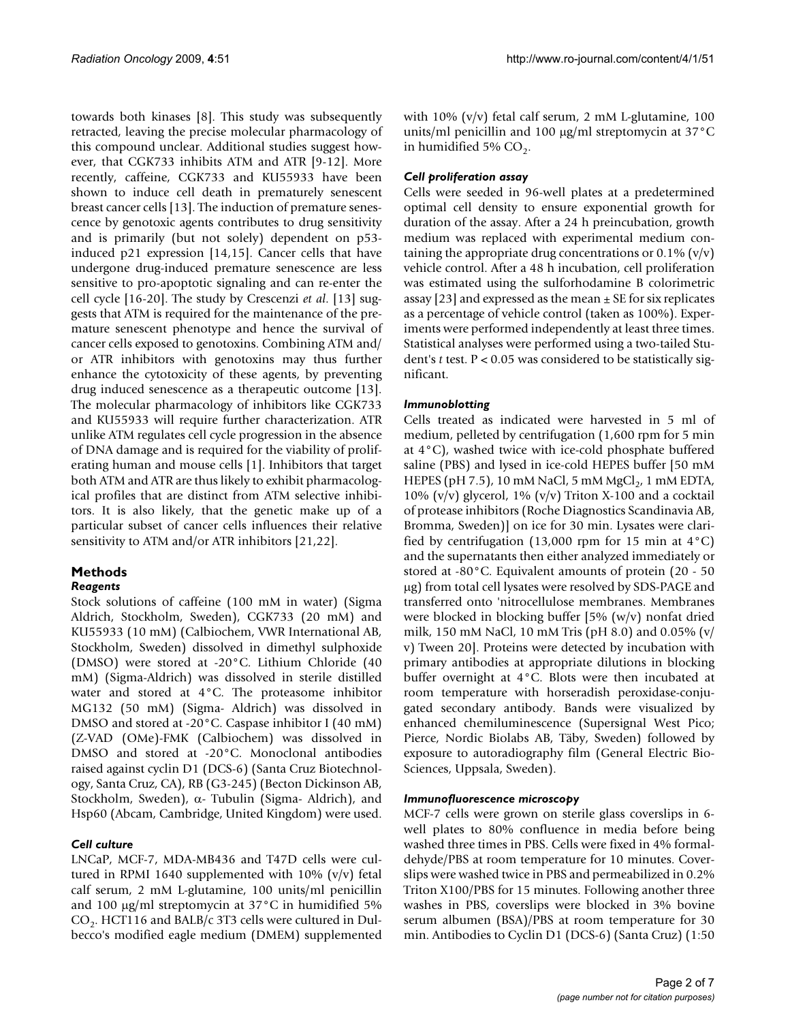towards both kinases [8]. This study was subsequently retracted, leaving the precise molecular pharmacology of this compound unclear. Additional studies suggest however, that CGK733 inhibits ATM and ATR [9-12]. More recently, caffeine, CGK733 and KU55933 have been shown to induce cell death in prematurely senescent breast cancer cells [13]. The induction of premature senescence by genotoxic agents contributes to drug sensitivity and is primarily (but not solely) dependent on p53 induced p21 expression [14,15]. Cancer cells that have undergone drug-induced premature senescence are less sensitive to pro-apoptotic signaling and can re-enter the cell cycle [16-20]. The study by Crescenzi *et al*. [13] suggests that ATM is required for the maintenance of the premature senescent phenotype and hence the survival of cancer cells exposed to genotoxins. Combining ATM and/ or ATR inhibitors with genotoxins may thus further enhance the cytotoxicity of these agents, by preventing drug induced senescence as a therapeutic outcome [13]. The molecular pharmacology of inhibitors like CGK733 and KU55933 will require further characterization. ATR unlike ATM regulates cell cycle progression in the absence of DNA damage and is required for the viability of proliferating human and mouse cells [1]. Inhibitors that target both ATM and ATR are thus likely to exhibit pharmacological profiles that are distinct from ATM selective inhibitors. It is also likely, that the genetic make up of a particular subset of cancer cells influences their relative sensitivity to ATM and/or ATR inhibitors [21,22].

### **Methods**

#### *Reagents*

Stock solutions of caffeine (100 mM in water) (Sigma Aldrich, Stockholm, Sweden), CGK733 (20 mM) and KU55933 (10 mM) (Calbiochem, VWR International AB, Stockholm, Sweden) dissolved in dimethyl sulphoxide (DMSO) were stored at -20°C. Lithium Chloride (40 mM) (Sigma-Aldrich) was dissolved in sterile distilled water and stored at 4°C. The proteasome inhibitor MG132 (50 mM) (Sigma- Aldrich) was dissolved in DMSO and stored at -20°C. Caspase inhibitor I (40 mM) (Z-VAD (OMe)-FMK (Calbiochem) was dissolved in DMSO and stored at -20°C. Monoclonal antibodies raised against cyclin D1 (DCS-6) (Santa Cruz Biotechnology, Santa Cruz, CA), RB (G3-245) (Becton Dickinson AB, Stockholm, Sweden), α- Tubulin (Sigma- Aldrich), and Hsp60 (Abcam, Cambridge, United Kingdom) were used.

#### *Cell culture*

LNCaP, MCF-7, MDA-MB436 and T47D cells were cultured in RPMI 1640 supplemented with 10%  $(v/v)$  fetal calf serum, 2 mM L-glutamine, 100 units/ml penicillin and 100 μg/ml streptomycin at 37°C in humidified 5%  $CO<sub>2</sub>$ . HCT116 and BALB/c 3T3 cells were cultured in Dulbecco's modified eagle medium (DMEM) supplemented

with 10% (v/v) fetal calf serum, 2 mM L-glutamine, 100 units/ml penicillin and 100 μg/ml streptomycin at 37°C in humidified 5%  $CO<sub>2</sub>$ .

#### *Cell proliferation assay*

Cells were seeded in 96-well plates at a predetermined optimal cell density to ensure exponential growth for duration of the assay. After a 24 h preincubation, growth medium was replaced with experimental medium containing the appropriate drug concentrations or  $0.1\%$  (v/v) vehicle control. After a 48 h incubation, cell proliferation was estimated using the sulforhodamine B colorimetric assay [23] and expressed as the mean  $\pm$  SE for six replicates as a percentage of vehicle control (taken as 100%). Experiments were performed independently at least three times. Statistical analyses were performed using a two-tailed Student's *t* test. P < 0.05 was considered to be statistically significant.

#### *Immunoblotting*

Cells treated as indicated were harvested in 5 ml of medium, pelleted by centrifugation (1,600 rpm for 5 min at 4°C), washed twice with ice-cold phosphate buffered saline (PBS) and lysed in ice-cold HEPES buffer [50 mM HEPES (pH 7.5), 10 mM NaCl, 5 mM  $MgCl<sub>2</sub>$ , 1 mM EDTA, 10% (v/v) glycerol, 1% (v/v) Triton X-100 and a cocktail of protease inhibitors (Roche Diagnostics Scandinavia AB, Bromma, Sweden)] on ice for 30 min. Lysates were clarified by centrifugation (13,000 rpm for 15 min at  $4^{\circ}$ C) and the supernatants then either analyzed immediately or stored at -80°C. Equivalent amounts of protein (20 - 50 μg) from total cell lysates were resolved by SDS-PAGE and transferred onto 'nitrocellulose membranes. Membranes were blocked in blocking buffer [5% (w/v) nonfat dried milk, 150 mM NaCl, 10 mM Tris (pH 8.0) and 0.05% (v/ v) Tween 20]. Proteins were detected by incubation with primary antibodies at appropriate dilutions in blocking buffer overnight at 4°C. Blots were then incubated at room temperature with horseradish peroxidase-conjugated secondary antibody. Bands were visualized by enhanced chemiluminescence (Supersignal West Pico; Pierce, Nordic Biolabs AB, Täby, Sweden) followed by exposure to autoradiography film (General Electric Bio-Sciences, Uppsala, Sweden).

#### *Immunofluorescence microscopy*

MCF-7 cells were grown on sterile glass coverslips in 6 well plates to 80% confluence in media before being washed three times in PBS. Cells were fixed in 4% formaldehyde/PBS at room temperature for 10 minutes. Coverslips were washed twice in PBS and permeabilized in 0.2% Triton X100/PBS for 15 minutes. Following another three washes in PBS, coverslips were blocked in 3% bovine serum albumen (BSA)/PBS at room temperature for 30 min. Antibodies to Cyclin D1 (DCS-6) (Santa Cruz) (1:50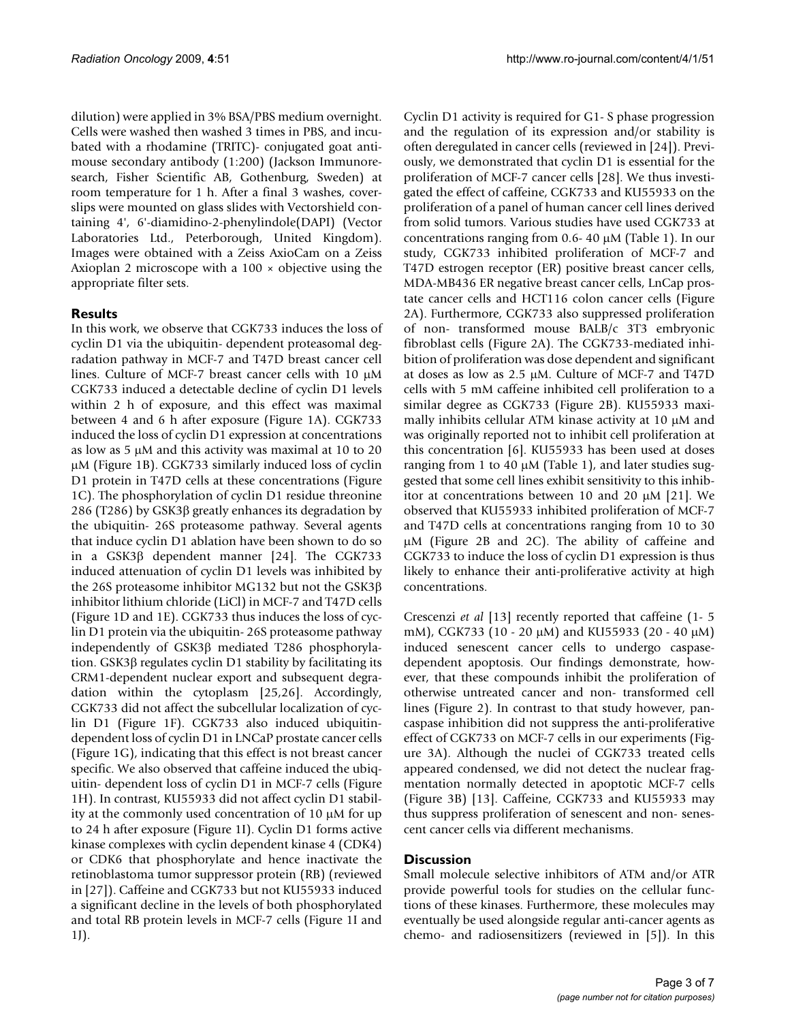dilution) were applied in 3% BSA/PBS medium overnight. Cells were washed then washed 3 times in PBS, and incubated with a rhodamine (TRITC)- conjugated goat antimouse secondary antibody (1:200) (Jackson Immunoresearch, Fisher Scientific AB, Gothenburg, Sweden) at room temperature for 1 h. After a final 3 washes, coverslips were mounted on glass slides with Vectorshield containing 4', 6'-diamidino-2-phenylindole(DAPI) (Vector Laboratories Ltd., Peterborough, United Kingdom). Images were obtained with a Zeiss AxioCam on a Zeiss Axioplan 2 microscope with a 100 × objective using the appropriate filter sets.

#### **Results**

In this work, we observe that CGK733 induces the loss of cyclin D1 via the ubiquitin- dependent proteasomal degradation pathway in MCF-7 and T47D breast cancer cell lines. Culture of MCF-7 breast cancer cells with 10 μM CGK733 induced a detectable decline of cyclin D1 levels within 2 h of exposure, and this effect was maximal between 4 and 6 h after exposure (Figure 1A). CGK733 induced the loss of cyclin D1 expression at concentrations as low as 5 μM and this activity was maximal at 10 to 20 μM (Figure 1B). CGK733 similarly induced loss of cyclin D1 protein in T47D cells at these concentrations (Figure 1C). The phosphorylation of cyclin D1 residue threonine 286 (T286) by GSK3β greatly enhances its degradation by the ubiquitin- 26S proteasome pathway. Several agents that induce cyclin D1 ablation have been shown to do so in a GSK3β dependent manner [24]. The CGK733 induced attenuation of cyclin D1 levels was inhibited by the 26S proteasome inhibitor MG132 but not the GSK3β inhibitor lithium chloride (LiCl) in MCF-7 and T47D cells (Figure 1D and 1E). CGK733 thus induces the loss of cyclin D1 protein via the ubiquitin- 26S proteasome pathway independently of GSK3β mediated T286 phosphorylation. GSK3β regulates cyclin D1 stability by facilitating its CRM1-dependent nuclear export and subsequent degradation within the cytoplasm [25,26]. Accordingly, CGK733 did not affect the subcellular localization of cyclin D1 (Figure 1F). CGK733 also induced ubiquitindependent loss of cyclin D1 in LNCaP prostate cancer cells (Figure 1G), indicating that this effect is not breast cancer specific. We also observed that caffeine induced the ubiquitin- dependent loss of cyclin D1 in MCF-7 cells (Figure 1H). In contrast, KU55933 did not affect cyclin D1 stability at the commonly used concentration of 10 μM for up to 24 h after exposure (Figure 1I). Cyclin D1 forms active kinase complexes with cyclin dependent kinase 4 (CDK4) or CDK6 that phosphorylate and hence inactivate the retinoblastoma tumor suppressor protein (RB) (reviewed in [27]). Caffeine and CGK733 but not KU55933 induced a significant decline in the levels of both phosphorylated and total RB protein levels in MCF-7 cells (Figure 1I and 1J).

Cyclin D1 activity is required for G1- S phase progression and the regulation of its expression and/or stability is often deregulated in cancer cells (reviewed in [24]). Previously, we demonstrated that cyclin D1 is essential for the proliferation of MCF-7 cancer cells [28]. We thus investigated the effect of caffeine, CGK733 and KU55933 on the proliferation of a panel of human cancer cell lines derived from solid tumors. Various studies have used CGK733 at concentrations ranging from 0.6- 40 μM (Table 1). In our study, CGK733 inhibited proliferation of MCF-7 and T47D estrogen receptor (ER) positive breast cancer cells, MDA-MB436 ER negative breast cancer cells, LnCap prostate cancer cells and HCT116 colon cancer cells (Figure 2A). Furthermore, CGK733 also suppressed proliferation of non- transformed mouse BALB/c 3T3 embryonic fibroblast cells (Figure 2A). The CGK733-mediated inhibition of proliferation was dose dependent and significant at doses as low as 2.5 μM. Culture of MCF-7 and T47D cells with 5 mM caffeine inhibited cell proliferation to a similar degree as CGK733 (Figure 2B). KU55933 maximally inhibits cellular ATM kinase activity at 10 μM and was originally reported not to inhibit cell proliferation at this concentration [6]. KU55933 has been used at doses ranging from 1 to 40 μM (Table 1), and later studies suggested that some cell lines exhibit sensitivity to this inhibitor at concentrations between 10 and 20 μM [21]. We observed that KU55933 inhibited proliferation of MCF-7 and T47D cells at concentrations ranging from 10 to 30 μM (Figure 2B and 2C). The ability of caffeine and CGK733 to induce the loss of cyclin D1 expression is thus likely to enhance their anti-proliferative activity at high concentrations.

Crescenzi *et al* [13] recently reported that caffeine (1- 5 mM), CGK733 (10 - 20 μM) and KU55933 (20 - 40 μM) induced senescent cancer cells to undergo caspasedependent apoptosis. Our findings demonstrate, however, that these compounds inhibit the proliferation of otherwise untreated cancer and non- transformed cell lines (Figure 2). In contrast to that study however, pancaspase inhibition did not suppress the anti-proliferative effect of CGK733 on MCF-7 cells in our experiments (Figure 3A). Although the nuclei of CGK733 treated cells appeared condensed, we did not detect the nuclear fragmentation normally detected in apoptotic MCF-7 cells (Figure 3B) [13]. Caffeine, CGK733 and KU55933 may thus suppress proliferation of senescent and non- senescent cancer cells via different mechanisms.

#### **Discussion**

Small molecule selective inhibitors of ATM and/or ATR provide powerful tools for studies on the cellular functions of these kinases. Furthermore, these molecules may eventually be used alongside regular anti-cancer agents as chemo- and radiosensitizers (reviewed in [5]). In this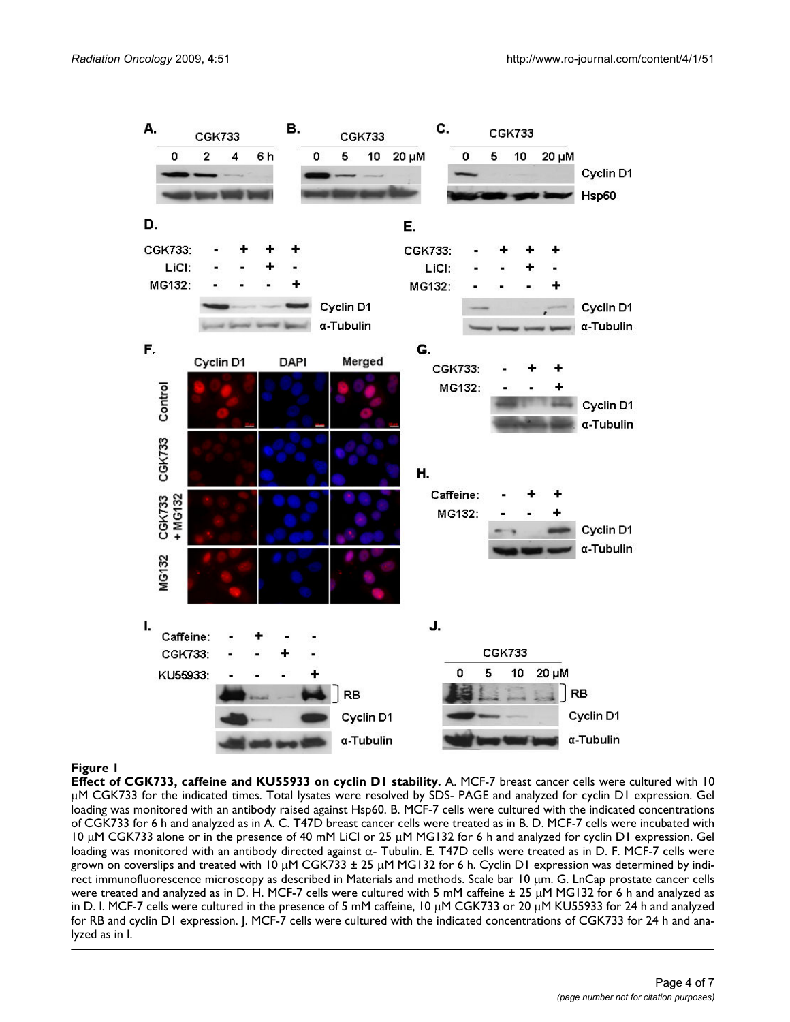

#### **Figure 1**

**Effect of CGK733, caffeine and KU55933 on cyclin D1 stability.** A. MCF-7 breast cancer cells were cultured with 10 μM CGK733 for the indicated times. Total lysates were resolved by SDS- PAGE and analyzed for cyclin D1 expression. Gel loading was monitored with an antibody raised against Hsp60. B. MCF-7 cells were cultured with the indicated concentrations of CGK733 for 6 h and analyzed as in A. C. T47D breast cancer cells were treated as in B. D. MCF-7 cells were incubated with 10 μM CGK733 alone or in the presence of 40 mM LiCl or 25 μM MG132 for 6 h and analyzed for cyclin D1 expression. Gel loading was monitored with an antibody directed against α- Tubulin. E. T47D cells were treated as in D. F. MCF-7 cells were grown on coverslips and treated with 10 μM CGK733 ± 25 μM MG132 for 6 h. Cyclin D1 expression was determined by indirect immunofluorescence microscopy as described in Materials and methods. Scale bar 10 μm. G. LnCap prostate cancer cells were treated and analyzed as in D. H. MCF-7 cells were cultured with 5 mM caffeine ± 25 μM MG132 for 6 h and analyzed as in D. I. MCF-7 cells were cultured in the presence of 5 mM caffeine, 10 μM CGK733 or 20 μM KU55933 for 24 h and analyzed for RB and cyclin D1 expression. J. MCF-7 cells were cultured with the indicated concentrations of CGK733 for 24 h and analyzed as in I.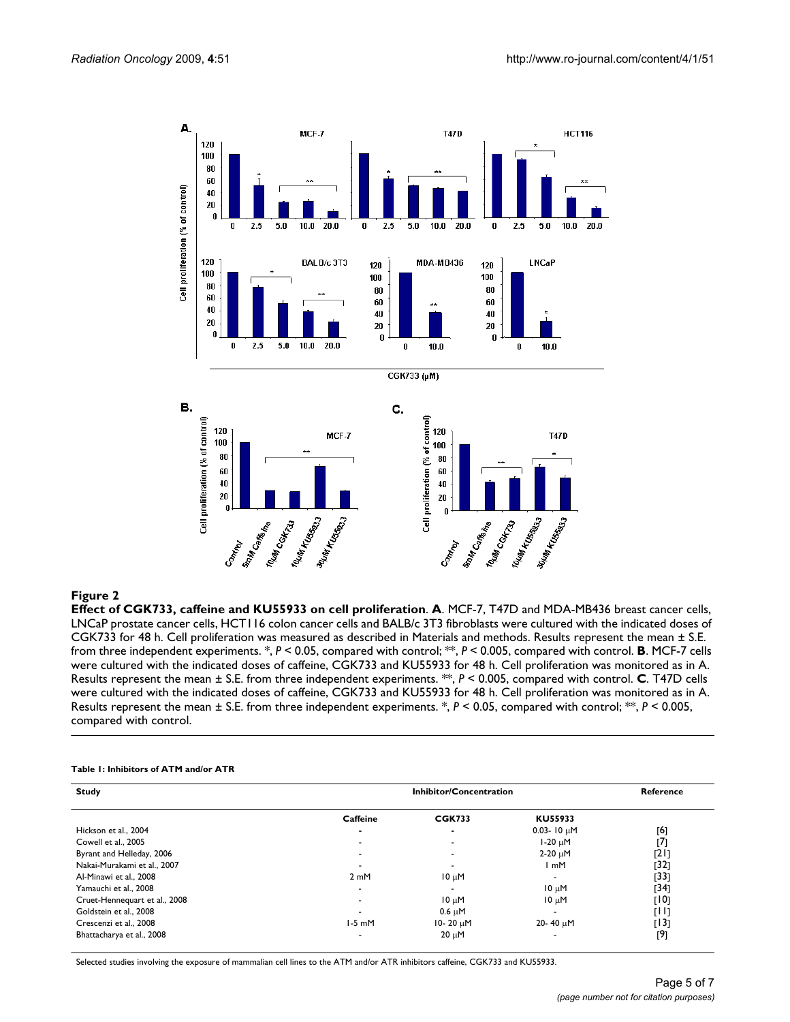![](_page_4_Figure_2.jpeg)

#### Figure 2

**Effect of CGK733, caffeine and KU55933 on cell proliferation**. **A**. MCF-7, T47D and MDA-MB436 breast cancer cells, LNCaP prostate cancer cells, HCT116 colon cancer cells and BALB/c 3T3 fibroblasts were cultured with the indicated doses of CGK733 for 48 h. Cell proliferation was measured as described in Materials and methods. Results represent the mean ± S.E. from three independent experiments. \*, *P* < 0.05, compared with control; \*\*, *P* < 0.005, compared with control. **B**. MCF-7 cells were cultured with the indicated doses of caffeine, CGK733 and KU55933 for 48 h. Cell proliferation was monitored as in A. Results represent the mean ± S.E. from three independent experiments. \*\*, *P* < 0.005, compared with control. **C**. T47D cells were cultured with the indicated doses of caffeine, CGK733 and KU55933 for 48 h. Cell proliferation was monitored as in A. Results represent the mean ± S.E. from three independent experiments. \*, *P* < 0.05, compared with control; \*\*, *P* < 0.005, compared with control.

#### **Table 1: Inhibitors of ATM and/or ATR**

| <b>Study</b>                  | Inhibitor/Concentration |                          |                          | Reference |
|-------------------------------|-------------------------|--------------------------|--------------------------|-----------|
|                               | Caffeine                | <b>CGK733</b>            | KU55933                  |           |
| Hickson et al., 2004          |                         |                          | $0.03 - 10 \mu M$        | [6]       |
| Cowell et al., 2005           |                         |                          | $1-20 \mu M$             | [7]       |
| Byrant and Helleday, 2006     | -                       | $\overline{\phantom{a}}$ | $2-20 \mu M$             | [21]      |
| Nakai-Murakami et al., 2007   |                         |                          | ∣mM                      | $[32]$    |
| Al-Minawi et al., 2008        | 2mM                     | $10 \mu M$               | $\overline{\phantom{0}}$ | [33]      |
| Yamauchi et al., 2008         |                         | $\,$                     | $10 \mu M$               | [34]      |
| Cruet-Hennequart et al., 2008 |                         | $10 \mu M$               | $10 \mu M$               | [10]      |
| Goldstein et al., 2008        |                         | $0.6 \mu M$              | $\overline{\phantom{0}}$ | [H]       |
| Crescenzi et al., 2008        | $1-5$ mM                | 10-20 µM                 | 20-40 µM                 | [13]      |
| Bhattacharya et al., 2008     |                         | $20 \mu M$               |                          | [9]       |

Selected studies involving the exposure of mammalian cell lines to the ATM and/or ATR inhibitors caffeine, CGK733 and KU55933.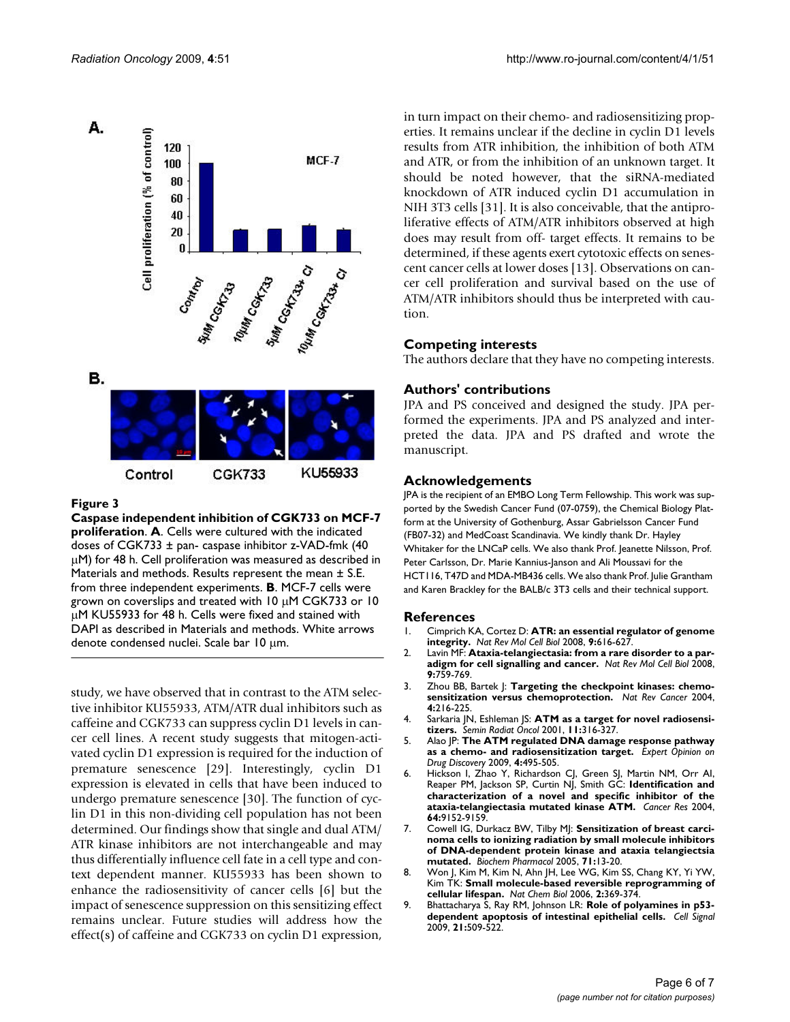![](_page_5_Figure_2.jpeg)

#### Figure 3

**Caspase independent inhibition of CGK733 on MCF-7 proliferation**. **A**. Cells were cultured with the indicated doses of CGK733  $\pm$  pan- caspase inhibitor z-VAD-fmk (40 μM) for 48 h. Cell proliferation was measured as described in Materials and methods. Results represent the mean ± S.E. from three independent experiments. **B**. MCF-7 cells were grown on coverslips and treated with 10 μM CGK733 or 10 μM KU55933 for 48 h. Cells were fixed and stained with DAPI as described in Materials and methods. White arrows denote condensed nuclei. Scale bar 10 μm.

study, we have observed that in contrast to the ATM selective inhibitor KU55933, ATM/ATR dual inhibitors such as caffeine and CGK733 can suppress cyclin D1 levels in cancer cell lines. A recent study suggests that mitogen-activated cyclin D1 expression is required for the induction of premature senescence [29]. Interestingly, cyclin D1 expression is elevated in cells that have been induced to undergo premature senescence [30]. The function of cyclin D1 in this non-dividing cell population has not been determined. Our findings show that single and dual ATM/ ATR kinase inhibitors are not interchangeable and may thus differentially influence cell fate in a cell type and context dependent manner. KU55933 has been shown to enhance the radiosensitivity of cancer cells [6] but the impact of senescence suppression on this sensitizing effect remains unclear. Future studies will address how the effect(s) of caffeine and CGK733 on cyclin D1 expression,

in turn impact on their chemo- and radiosensitizing properties. It remains unclear if the decline in cyclin D1 levels results from ATR inhibition, the inhibition of both ATM and ATR, or from the inhibition of an unknown target. It should be noted however, that the siRNA-mediated knockdown of ATR induced cyclin D1 accumulation in NIH 3T3 cells [31]. It is also conceivable, that the antiproliferative effects of ATM/ATR inhibitors observed at high does may result from off- target effects. It remains to be determined, if these agents exert cytotoxic effects on senescent cancer cells at lower doses [13]. Observations on cancer cell proliferation and survival based on the use of ATM/ATR inhibitors should thus be interpreted with caution.

#### **Competing interests**

The authors declare that they have no competing interests.

#### **Authors' contributions**

JPA and PS conceived and designed the study. JPA performed the experiments. JPA and PS analyzed and interpreted the data. JPA and PS drafted and wrote the manuscript.

#### **Acknowledgements**

JPA is the recipient of an EMBO Long Term Fellowship. This work was supported by the Swedish Cancer Fund (07-0759), the Chemical Biology Platform at the University of Gothenburg, Assar Gabrielsson Cancer Fund (FB07-32) and MedCoast Scandinavia. We kindly thank Dr. Hayley Whitaker for the LNCaP cells. We also thank Prof. Jeanette Nilsson, Prof. Peter Carlsson, Dr. Marie Kannius-Janson and Ali Moussavi for the HCT116, T47D and MDA-MB436 cells. We also thank Prof. Julie Grantham and Karen Brackley for the BALB/c 3T3 cells and their technical support.

#### **References**

- 1. Cimprich KA, Cortez D: **[ATR: an essential regulator of genome](http://www.ncbi.nlm.nih.gov/entrez/query.fcgi?cmd=Retrieve&db=PubMed&dopt=Abstract&list_uids=18594563) [integrity.](http://www.ncbi.nlm.nih.gov/entrez/query.fcgi?cmd=Retrieve&db=PubMed&dopt=Abstract&list_uids=18594563)** *Nat Rev Mol Cell Biol* 2008, **9:**616-627.
- 2. Lavin MF: **[Ataxia-telangiectasia: from a rare disorder to a par](http://www.ncbi.nlm.nih.gov/entrez/query.fcgi?cmd=Retrieve&db=PubMed&dopt=Abstract&list_uids=18813293)[adigm for cell signalling and cancer.](http://www.ncbi.nlm.nih.gov/entrez/query.fcgi?cmd=Retrieve&db=PubMed&dopt=Abstract&list_uids=18813293)** *Nat Rev Mol Cell Biol* 2008, **9:**759-769.
- 3. Zhou BB, Bartek J: **[Targeting the checkpoint kinases: chemo](http://www.ncbi.nlm.nih.gov/entrez/query.fcgi?cmd=Retrieve&db=PubMed&dopt=Abstract&list_uids=14993903)[sensitization versus chemoprotection.](http://www.ncbi.nlm.nih.gov/entrez/query.fcgi?cmd=Retrieve&db=PubMed&dopt=Abstract&list_uids=14993903)** *Nat Rev Cancer* 2004, **4:**216-225.
- 4. Sarkaria JN, Eshleman JS: **[ATM as a target for novel radiosensi](http://www.ncbi.nlm.nih.gov/entrez/query.fcgi?cmd=Retrieve&db=PubMed&dopt=Abstract&list_uids=11677656)[tizers.](http://www.ncbi.nlm.nih.gov/entrez/query.fcgi?cmd=Retrieve&db=PubMed&dopt=Abstract&list_uids=11677656)** *Semin Radiat Oncol* 2001, **11:**316-327.
- 5. Alao JP: **The ATM regulated DNA damage response pathway as a chemo- and radiosensitization target.** *Expert Opinion on Drug Discovery* 2009, **4:**495-505.
- 6. Hickson I, Zhao Y, Richardson CJ, Green SJ, Martin NM, Orr AI, Reaper PM, Jackson SP, Curtin NJ, Smith GC: **[Identification and](http://www.ncbi.nlm.nih.gov/entrez/query.fcgi?cmd=Retrieve&db=PubMed&dopt=Abstract&list_uids=15604286) [characterization of a novel and specific inhibitor of the](http://www.ncbi.nlm.nih.gov/entrez/query.fcgi?cmd=Retrieve&db=PubMed&dopt=Abstract&list_uids=15604286) [ataxia-telangiectasia mutated kinase ATM.](http://www.ncbi.nlm.nih.gov/entrez/query.fcgi?cmd=Retrieve&db=PubMed&dopt=Abstract&list_uids=15604286)** *Cancer Res* 2004, **64:**9152-9159.
- 7. Cowell IG, Durkacz BW, Tilby MJ: **[Sensitization of breast carci](http://www.ncbi.nlm.nih.gov/entrez/query.fcgi?cmd=Retrieve&db=PubMed&dopt=Abstract&list_uids=16293233)[noma cells to ionizing radiation by small molecule inhibitors](http://www.ncbi.nlm.nih.gov/entrez/query.fcgi?cmd=Retrieve&db=PubMed&dopt=Abstract&list_uids=16293233) of DNA-dependent protein kinase and ataxia telangiectsia [mutated.](http://www.ncbi.nlm.nih.gov/entrez/query.fcgi?cmd=Retrieve&db=PubMed&dopt=Abstract&list_uids=16293233)** *Biochem Pharmacol* 2005, **71:**13-20.
- 8. Won J, Kim M, Kim N, Ahn JH, Lee WG, Kim SS, Chang KY, Yi YW, Kim TK: **[Small molecule-based reversible reprogramming of](http://www.ncbi.nlm.nih.gov/entrez/query.fcgi?cmd=Retrieve&db=PubMed&dopt=Abstract&list_uids=16767085) [cellular lifespan.](http://www.ncbi.nlm.nih.gov/entrez/query.fcgi?cmd=Retrieve&db=PubMed&dopt=Abstract&list_uids=16767085)** *Nat Chem Biol* 2006, **2:**369-374.
- 9. Bhattacharya S, Ray RM, Johnson LR: **[Role of polyamines in p53](http://www.ncbi.nlm.nih.gov/entrez/query.fcgi?cmd=Retrieve&db=PubMed&dopt=Abstract&list_uids=19136059) [dependent apoptosis of intestinal epithelial cells.](http://www.ncbi.nlm.nih.gov/entrez/query.fcgi?cmd=Retrieve&db=PubMed&dopt=Abstract&list_uids=19136059)** *Cell Signal* 2009, **21:**509-522.